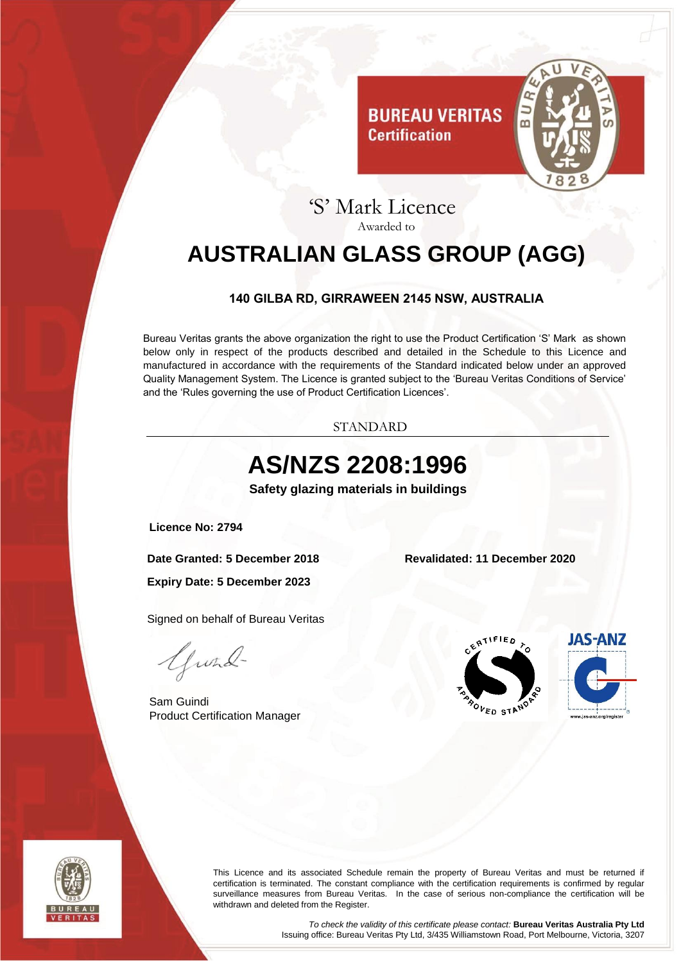

## 'S' Mark Licence Awarded to

**Certification** 

# <span id="page-0-0"></span>**AUSTRALIAN GLASS GROUP (AGG)**

#### **140 GILBA RD, GIRRAWEEN 2145 NSW, AUSTRALIA**

<span id="page-0-1"></span>Bureau Veritas grants the above organization the right to use the Product Certification 'S' Mark as shown below only in respect of the products described and detailed in the Schedule to this Licence and manufactured in accordance with the requirements of the Standard indicated below under an approved Quality Management System. The Licence is granted subject to the 'Bureau Veritas Conditions of Service' and the 'Rules governing the use of Product Certification Licences'.

STANDARD

# **AS/NZS 2208:1996**

**Safety glazing materials in buildings**

<span id="page-0-3"></span><span id="page-0-2"></span>**Licence No: 2794**

**Date Granted: 5 December 2018 Revalidated: 11 December 2020**

**Expiry Date: 5 December 2023**

Signed on behalf of Bureau Veritas

Gwad-

Sam Guindi Product Certification Manager







This Licence and its associated Schedule remain the property of Bureau Veritas and must be returned if certification is terminated. The constant compliance with the certification requirements is confirmed by regular surveillance measures from Bureau Veritas. In the case of serious non-compliance the certification will be withdrawn and deleted from the Register.

> *To check the validity of this certificate please contact:* **Bureau Veritas Australia Pty Ltd** Issuing office: Bureau Veritas Pty Ltd, 3/435 Williamstown Road, Port Melbourne, Victoria, 3207